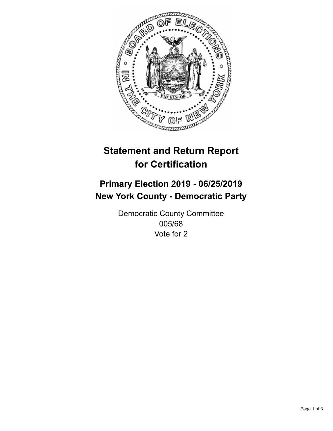

## **Statement and Return Report for Certification**

## **Primary Election 2019 - 06/25/2019 New York County - Democratic Party**

Democratic County Committee 005/68 Vote for 2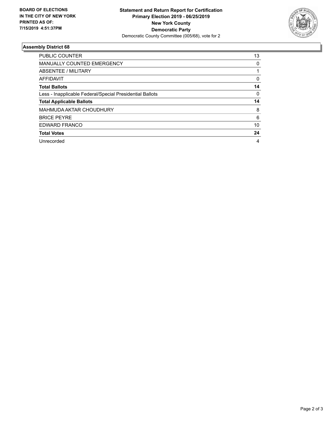

## **Assembly District 68**

| <b>PUBLIC COUNTER</b>                                    | 13 |
|----------------------------------------------------------|----|
| <b>MANUALLY COUNTED EMERGENCY</b>                        | 0  |
| ABSENTEE / MILITARY                                      |    |
| AFFIDAVIT                                                | 0  |
| <b>Total Ballots</b>                                     | 14 |
| Less - Inapplicable Federal/Special Presidential Ballots | 0  |
| <b>Total Applicable Ballots</b>                          | 14 |
| MAHMUDA AKTAR CHOUDHURY                                  | 8  |
| <b>BRICE PEYRE</b>                                       | 6  |
| EDWARD FRANCO                                            | 10 |
| <b>Total Votes</b>                                       | 24 |
| Unrecorded                                               | 4  |